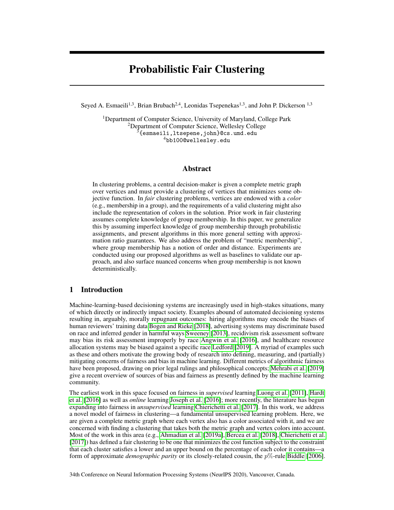# Probabilistic Fair Clustering

Seyed A. Esmaeili<sup>1,3</sup>, Brian Brubach<sup>2,4</sup>, Leonidas Tsepenekas<sup>1,3</sup>, and John P. Dickerson<sup>1,3</sup>

<sup>1</sup>Department of Computer Science, University of Maryland, College Park <sup>2</sup>Department of Computer Science, Wellesley College  $\overline{3}$ {esmaeili,ltsepene,john}@cs.umd.edu <sup>4</sup>bb100@wellesley.edu

## Abstract

In clustering problems, a central decision-maker is given a complete metric graph over vertices and must provide a clustering of vertices that minimizes some objective function. In *fair* clustering problems, vertices are endowed with a *color* (e.g., membership in a group), and the requirements of a valid clustering might also include the representation of colors in the solution. Prior work in fair clustering assumes complete knowledge of group membership. In this paper, we generalize this by assuming imperfect knowledge of group membership through probabilistic assignments, and present algorithms in this more general setting with approximation ratio guarantees. We also address the problem of "metric membership", where group membership has a notion of order and distance. Experiments are conducted using our proposed algorithms as well as baselines to validate our approach, and also surface nuanced concerns when group membership is not known deterministically.

## 1 Introduction

Machine-learning-based decisioning systems are increasingly used in high-stakes situations, many of which directly or indirectly impact society. Examples abound of automated decisioning systems resulting in, arguably, morally repugnant outcomes: hiring algorithms may encode the biases of human reviewers' training data [Bogen and Rieke](#page-10-0) [\[2018\]](#page-10-0), advertising systems may discriminate based on race and inferred gender in harmful ways [Sweeney](#page-12-0) [\[2013\]](#page-12-0), recidivism risk assessment software may bias its risk assessment improperly by race [Angwin et al.](#page-10-1) [\[2016\]](#page-10-1), and healthcare resource allocation systems may be biased against a specific race [Ledford](#page-11-0) [\[2019\]](#page-11-0). A myriad of examples such as these and others motivate the growing body of research into defining, measuring, and (partially) mitigating concerns of fairness and bias in machine learning. Different metrics of algorithmic fairness have been proposed, drawing on prior legal rulings and philosophical concepts; [Mehrabi et al.](#page-11-1) [\[2019\]](#page-11-1) give a recent overview of sources of bias and fairness as presently defined by the machine learning community.

The earliest work in this space focused on fairness in *supervised* learning [Luong et al.](#page-11-2) [\[2011\]](#page-11-2), [Hardt](#page-11-3) [et al.](#page-11-3) [\[2016\]](#page-11-3) as well as *online* learning [Joseph et al.](#page-11-4) [\[2016\]](#page-11-4); more recently, the literature has begun expanding into fairness in *unsupervised* learning [Chierichetti et al.](#page-10-2) [\[2017\]](#page-10-2). In this work, we address a novel model of fairness in clustering—a fundamental unsupervised learning problem. Here, we are given a complete metric graph where each vertex also has a color associated with it, and we are concerned with finding a clustering that takes both the metric graph and vertex colors into account. Most of the work in this area (e.g., [Ahmadian et al.](#page-9-0) [\[2019a\]](#page-9-0), [Bercea et al.](#page-10-3) [\[2018\]](#page-10-3), [Chierichetti et al.](#page-10-2) [\[2017\]](#page-10-2)) has defined a fair clustering to be one that minimizes the cost function subject to the constraint that each cluster satisfies a lower and an upper bound on the percentage of each color it contains—a form of approximate *demographic parity* or its closely-related cousin, the p%-rule [Biddle](#page-10-4) [\[2006\]](#page-10-4).

34th Conference on Neural Information Processing Systems (NeurIPS 2020), Vancouver, Canada.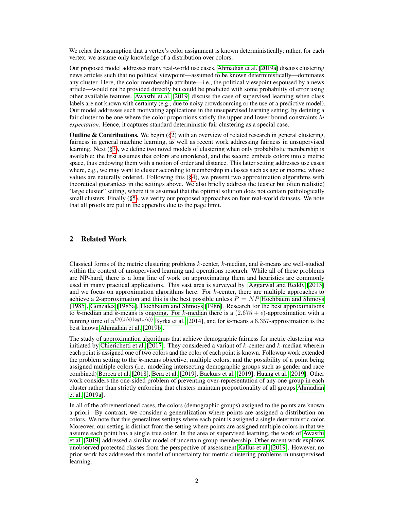We relax the assumption that a vertex's color assignment is known deterministically; rather, for each vertex, we assume only knowledge of a distribution over colors.

Our proposed model addresses many real-world use cases. [Ahmadian et al.](#page-9-0) [\[2019a\]](#page-9-0) discuss clustering news articles such that no political viewpoint—assumed to be known deterministically—dominates any cluster. Here, the color membership attribute—i.e., the political viewpoint espoused by a news article—would not be provided directly but could be predicted with some probability of error using other available features. [Awasthi et al.](#page-10-5) [\[2019\]](#page-10-5) discuss the case of supervised learning when class labels are not known with certainty (e.g., due to noisy crowdsourcing or the use of a predictive model). Our model addresses such motivating applications in the unsupervised learning setting, by defining a fair cluster to be one where the color proportions satisfy the upper and lower bound constraints *in expectation*. Hence, it captures standard deterministic fair clustering as a special case.

**Outline & Contributions.** We begin  $(\S 2)$  with an overview of related research in general clustering, fairness in general machine learning, as well as recent work addressing fairness in unsupervised learning. Next ([§3\)](#page-2-0), we define two novel models of clustering when only probabilistic membership is available: the first assumes that colors are unordered, and the second embeds colors into a metric space, thus endowing them with a notion of order and distance. This latter setting addresses use cases where, e.g., we may want to cluster according to membership in classes such as age or income, whose values are naturally ordered. Following this ([§4\)](#page-3-0), we present two approximation algorithms with theoretical guarantees in the settings above. We also briefly address the (easier but often realistic) "large cluster" setting, where it is assumed that the optimal solution does not contain pathologically small clusters. Finally ([§5\)](#page-6-0), we verify our proposed approaches on four real-world datasets. We note that all proofs are put in the appendix due to the page limit.

# <span id="page-1-0"></span>2 Related Work

Classical forms of the metric clustering problems  $k$ -center,  $k$ -median, and  $k$ -means are well-studied within the context of unsupervised learning and operations research. While all of these problems are NP-hard, there is a long line of work on approximating them and heuristics are commonly used in many practical applications. This vast area is surveyed by [Aggarwal and Reddy](#page-9-1) [\[2013\]](#page-9-1) and we focus on approximation algorithms here. For  $k$ -center, there are multiple approaches to achieve a 2-approximation and this is the best possible unless  $P = NP$  [Hochbaum and Shmoys](#page-11-5) [\[1985\]](#page-11-5), [Gonzalez](#page-10-6) [\[1985a\]](#page-10-6), [Hochbaum and Shmoys](#page-11-6) [\[1986\]](#page-11-6). Research for the best approximations to k-median and k-means is ongoing. For k-median there is a  $(2.675 + \epsilon)$ -approximation with a running time of  $n^{O((1/\epsilon) \log(1/\epsilon))}$  [Byrka et al.](#page-10-7) [\[2014\]](#page-10-7), and for k-means a 6.357-approximation is the best known [Ahmadian et al.](#page-10-8) [\[2019b\]](#page-10-8).

The study of approximation algorithms that achieve demographic fairness for metric clustering was initiated by [Chierichetti et al.](#page-10-2) [\[2017\]](#page-10-2). They considered a variant of k-center and k-median wherein each point is assigned one of two colors and the color of each point is known. Followup work extended the problem setting to the k-means objective, multiple colors, and the possibility of a point being assigned multiple colors (i.e. modeling intersecting demographic groups such as gender and race combined) [Bercea et al.](#page-10-3) [\[2018\]](#page-10-3), [Bera et al.](#page-10-9) [\[2019\]](#page-10-9), [Backurs et al.](#page-10-10) [\[2019\]](#page-10-10), [Huang et al.](#page-11-7) [\[2019\]](#page-11-7). Other work considers the one-sided problem of preventing over-representation of any one group in each cluster rather than strictly enforcing that clusters maintain proportionality of all groups [Ahmadian](#page-9-0) [et al.](#page-9-0) [\[2019a\]](#page-9-0).

In all of the aforementioned cases, the colors (demographic groups) assigned to the points are known a priori. By contrast, we consider a generalization where points are assigned a distribution on colors. We note that this generalizes settings where each point is assigned a single deterministic color. Moreover, our setting is distinct from the setting where points are assigned multiple colors in that we assume each point has a single true color. In the area of supervised learning, the work of [Awasthi](#page-10-5) [et al.](#page-10-5) [\[2019\]](#page-10-5) addressed a similar model of uncertain group membership. Other recent work explores unobserved protected classes from the perspective of assessment [Kallus et al.](#page-11-8) [\[2019\]](#page-11-8). However, no prior work has addressed this model of uncertainty for metric clustering problems in unsupervised learning.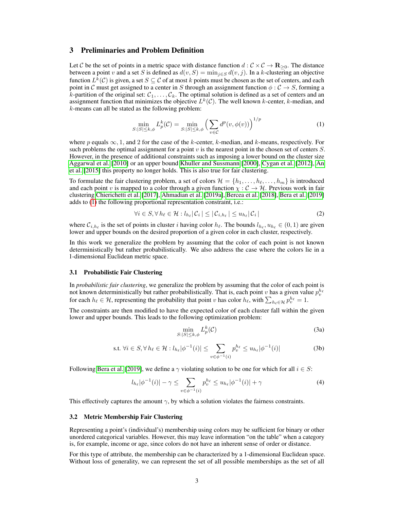# <span id="page-2-0"></span>3 Preliminaries and Problem Definition

Let C be the set of points in a metric space with distance function  $d : C \times C \to \mathbb{R}_{\geq 0}$ . The distance between a point v and a set S is defined as  $d(v, S) = \min_{j \in S} d(v, j)$ . In a k-clustering an objective function  $L^k(\mathcal{C})$  is given, a set  $S \subseteq \mathcal{C}$  of at most k points must be chosen as the set of centers, and each point in C must get assigned to a center in S through an assignment function  $\phi : \mathcal{C} \to S$ , forming a k-partition of the original set:  $C_1, \ldots, C_k$ . The optimal solution is defined as a set of centers and an assignment function that minimizes the objective  $L^k(\mathcal{C})$ . The well known k-center, k-median, and k-means can all be stated as the following problem:

<span id="page-2-1"></span>
$$
\min_{S:|S| \le k,\phi} L_p^k(\mathcal{C}) = \min_{S:|S| \le k,\phi} \left( \sum_{v \in \mathcal{C}} d^p(v,\phi(v)) \right)^{1/p} \tag{1}
$$

where p equals  $\infty$ , 1, and 2 for the case of the k-center, k-median, and k-means, respectively. For such problems the optimal assignment for a point  $v$  is the nearest point in the chosen set of centers  $S$ . However, in the presence of additional constraints such as imposing a lower bound on the cluster size [Aggarwal et al.](#page-9-2) [\[2010\]](#page-9-2) or an upper bound [Khuller and Sussmann](#page-11-9) [\[2000\]](#page-11-9), [Cygan et al.](#page-10-11) [\[2012\]](#page-10-11), [An](#page-10-12) [et al.](#page-10-12) [\[2015\]](#page-10-12) this property no longer holds. This is also true for fair clustering.

To formulate the fair clustering problem, a set of colors  $\mathcal{H} = \{h_1, \ldots, h_\ell, \ldots, h_m\}$  is introduced and each point v is mapped to a color through a given function  $\chi : \mathcal{C} \to \mathcal{H}$ . Previous work in fair clustering [Chierichetti et al.](#page-10-2) [\[2017\]](#page-10-2), [Ahmadian et al.](#page-9-0) [\[2019a\]](#page-9-0), [Bercea et al.](#page-10-3) [\[2018\]](#page-10-3), [Bera et al.](#page-10-9) [\[2019\]](#page-10-9) adds to [\(1\)](#page-2-1) the following proportional representation constraint, i.e.:

<span id="page-2-3"></span>
$$
\forall i \in S, \forall \, h_\ell \in \mathcal{H} : l_{h_\ell} | \mathcal{C}_i | \leq | \mathcal{C}_{i,h_\ell} | \leq u_{h_\ell} | \mathcal{C}_i | \tag{2}
$$

where  $C_{i,h_\ell}$  is the set of points in cluster i having color  $h_\ell$ . The bounds  $l_{h_\ell}, u_{h_\ell} \in (0,1)$  are given lower and upper bounds on the desired proportion of a given color in each cluster, respectively.

In this work we generalize the problem by assuming that the color of each point is not known deterministically but rather probabilistically. We also address the case where the colors lie in a 1-dimensional Euclidean metric space.

## <span id="page-2-2"></span>3.1 Probabilistic Fair Clustering

In *probabilistic fair clustering*, we generalize the problem by assuming that the color of each point is not known deterministically but rather probabilistically. That is, each point v has a given value  $p_v^{h_\ell}$ for each  $h_\ell \in \mathcal{H}$ , representing the probability that point v has color  $h_\ell$ , with  $\sum_{h_\ell \in \mathcal{H}} p_v^{h_\ell} = 1$ .

The constraints are then modified to have the expected color of each cluster fall within the given lower and upper bounds. This leads to the following optimization problem:

<span id="page-2-4"></span>
$$
\min_{S:|S|\leq k,\phi} L_p^k(\mathcal{C})\tag{3a}
$$

s.t. 
$$
\forall i \in S, \forall h_{\ell} \in \mathcal{H} : l_{h_{\ell}} |\phi^{-1}(i)| \leq \sum_{v \in \phi^{-1}(i)} p_v^{h_{\ell}} \leq u_{h_{\ell}} |\phi^{-1}(i)|
$$
 (3b)

Following [Bera et al.](#page-10-9) [\[2019\]](#page-10-9), we define a  $\gamma$  violating solution to be one for which for all  $i \in S$ :

$$
l_{h_{\ell}}|\phi^{-1}(i)| - \gamma \leq \sum_{v \in \phi^{-1}(i)} p_v^{h_{\ell}} \leq u_{h_{\ell}}|\phi^{-1}(i)| + \gamma \tag{4}
$$

This effectively captures the amount  $\gamma$ , by which a solution violates the fairness constraints.

## 3.2 Metric Membership Fair Clustering

Representing a point's (individual's) membership using colors may be sufficient for binary or other unordered categorical variables. However, this may leave information "on the table" when a category is, for example, income or age, since colors do not have an inherent sense of order or distance.

For this type of attribute, the membership can be characterized by a 1-dimensional Euclidean space. Without loss of generality, we can represent the set of all possible memberships as the set of all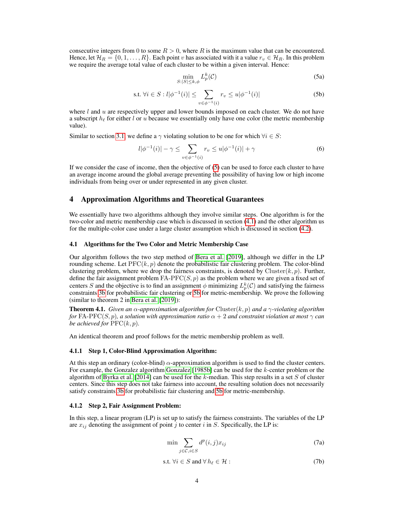consecutive integers from 0 to some  $R > 0$ , where R is the maximum value that can be encountered. Hence, let  $\mathcal{H}_R = \{0, 1, \ldots, R\}$ . Each point v has associated with it a value  $r_v \in \mathcal{H}_R$ . In this problem we require the average total value of each cluster to be within a given interval. Hence:

<span id="page-3-3"></span><span id="page-3-1"></span>
$$
\min_{S:|S| \le k,\phi} L_p^k(\mathcal{C}) \tag{5a}
$$

s.t. 
$$
\forall i \in S : l | \phi^{-1}(i)| \le \sum_{v \in \phi^{-1}(i)} r_v \le u | \phi^{-1}(i)|
$$
 (5b)

where  $l$  and  $u$  are respectively upper and lower bounds imposed on each cluster. We do not have a subscript  $h_\ell$  for either l or u because we essentially only have one color (the metric membership value).

Similar to section [3.1,](#page-2-2) we define a  $\gamma$  violating solution to be one for which  $\forall i \in S$ :

$$
l|\phi^{-1}(i)| - \gamma \le \sum_{v \in \phi^{-1}(i)} r_v \le u|\phi^{-1}(i)| + \gamma \tag{6}
$$

If we consider the case of income, then the objective of [\(5\)](#page-3-1) can be used to force each cluster to have an average income around the global average preventing the possibility of having low or high income individuals from being over or under represented in any given cluster.

## <span id="page-3-0"></span>4 Approximation Algorithms and Theoretical Guarantees

We essentially have two algorithms although they involve similar steps. One algorithm is for the two-color and metric membership case which is discussed in section [\(4.1\)](#page-3-2) and the other algorithm us for the multiple-color case under a large cluster assumption which is discussed in section [\(4.2\)](#page-5-0).

#### <span id="page-3-2"></span>4.1 Algorithms for the Two Color and Metric Membership Case

Our algorithm follows the two step method of [Bera et al.](#page-10-9) [\[2019\]](#page-10-9), although we differ in the LP rounding scheme. Let  $\text{PFC}(k, p)$  denote the probabilistic fair clustering problem. The color-blind clustering problem, where we drop the fairness constraints, is denoted by Cluster $(k, p)$ . Further, define the fair assignment problem  $FA-PFC(S, p)$  as the problem where we are given a fixed set of centers S and the objective is to find an assignment  $\phi$  minimizing  $L_p^k(\mathcal{C})$  and satisfying the fairness constraints [3b](#page-2-3) for probabilistic fair clustering or [5b](#page-2-3) for metric-membership. We prove the following (similar to theorem 2 in [Bera et al.](#page-10-9) [\[2019\]](#page-10-9)):

**Theorem 4.1.** *Given an*  $\alpha$ *-approximation algorithm for* Cluster(k, p) *and*  $\alpha$ <sub>7</sub>*-violating algorithm for* FA-PFC(S, p), a solution with approximation ratio  $\alpha + 2$  *and constraint violation at most*  $\gamma$  *can be achieved for*  $\text{PFC}(k, p)$ *.* 

An identical theorem and proof follows for the metric membership problem as well.

### 4.1.1 Step 1, Color-Blind Approximation Algorithm:

At this step an ordinary (color-blind)  $\alpha$ -approximation algorithm is used to find the cluster centers. For example, the Gonzalez algorithm [Gonzalez](#page-11-10) [\[1985b\]](#page-11-10) can be used for the k-center problem or the algorithm of [Byrka et al.](#page-10-7) [\[2014\]](#page-10-7) can be used for the k-median. This step results in a set S of cluster centers. Since this step does not take fairness into account, the resulting solution does not necessarily satisfy constraints [3b](#page-2-3) for probabilistic fair clustering and [5b](#page-2-3) for metric-membership.

#### 4.1.2 Step 2, Fair Assignment Problem:

In this step, a linear program (LP) is set up to satisfy the fairness constraints. The variables of the LP are  $x_{ij}$  denoting the assignment of point j to center i in S. Specifically, the LP is:

$$
\min \sum_{j \in \mathcal{C}, i \in S} d^p(i, j) x_{ij} \tag{7a}
$$

$$
\text{s.t. } \forall i \in S \text{ and } \forall \, h_\ell \in \mathcal{H} : \tag{7b}
$$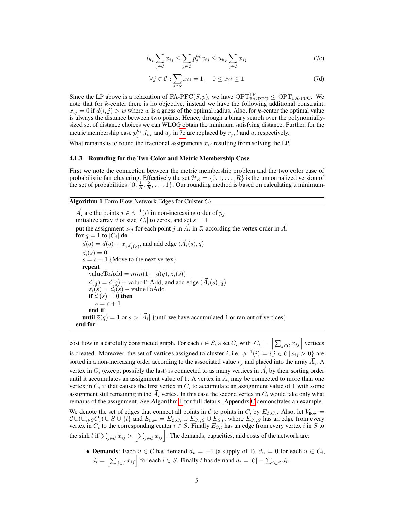$$
l_{h_{\ell}} \sum_{j \in \mathcal{C}} x_{ij} \le \sum_{j \in \mathcal{C}} p_j^{h_{\ell}} x_{ij} \le u_{h_{\ell}} \sum_{j \in \mathcal{C}} x_{ij}
$$
 (7c)

$$
\forall j \in \mathcal{C} : \sum_{i \in S} x_{ij} = 1, \quad 0 \le x_{ij} \le 1 \tag{7d}
$$

<span id="page-4-0"></span>Since the LP above is a relaxation of FA-PFC(S, p), we have  $\text{OPT}_{\text{FA-PFC}}^{\text{LP}} \leq \text{OPT}_{\text{FA-PFC}}$ . We note that for  $k$ -center there is no objective, instead we have the following additional constraint:  $x_{ij} = 0$  if  $d(i, j) > w$  where w is a guess of the optimal radius. Also, for k-center the optimal value is always the distance between two points. Hence, through a binary search over the polynomiallysized set of distance choices we can WLOG obtain the minimum satisfying distance. Further, for the metric membership case  $p_j^{h_\ell}, l_{h_\ell}$  and  $u_j$  in [7c](#page-4-0) are replaced by  $r_j, l$  and u, respectively.

What remains is to round the fractional assignments  $x_{ij}$  resulting from solving the LP.

#### 4.1.3 Rounding for the Two Color and Metric Membership Case

First we note the connection between the metric membership problem and the two color case of probabilistic fair clustering. Effectively the set  $\mathcal{H}_R = \{0, 1, \ldots, R\}$  is the unnormalized version of the set of probabilities  $\{0, \frac{1}{R}, \frac{2}{R}, \dots, 1\}$ . Our rounding method is based on calculating a minimum-

## <span id="page-4-1"></span>**Algorithm 1** Form Flow Network Edges for Culster  $C_i$

 $\vec{A}_i$  are the points  $j \in \phi^{-1}(i)$  in non-increasing order of  $p_j$ initialize array  $\vec{a}$  of size  $|C_i|$  to zeros, and set  $s = 1$ put the assignment  $x_{ij}$  for each point j in  $\vec{A}_i$  in  $\vec{z}_i$  according the vertex order in  $\vec{A}_i$ for  $q=1$  to  $\left|C_{i}\right|$  do  $\vec{a}(q) = \vec{a}(q) + x_{i\vec{A}_i(s)}$ , and add edge  $(\vec{A}_i(s), q)$  $\vec{z_i}(s) = 0$  $s = s + 1$  {Move to the next vertex} repeat valueToAdd =  $min(1 - \vec{a}(q), \vec{z}_i(s))$  $\vec{a}(q) = \vec{a}(q) + \text{valueToAdd}$ , and add edge  $(\vec{A}_i(s), q)$  $\vec{z}_i(s) = \vec{z}_i(s) - \text{valueToAdd}$ if  $\vec{z}_i(s) = 0$  then  $s = s + 1$ end if **until**  $\vec{a}(q) = 1$  or  $s > |\vec{A}_i|$  {until we have accumulated 1 or ran out of vertices} end for

cost flow in a carefully constructed graph. For each  $i \in S$ , a set  $C_i$  with  $|C_i| = \left[\sum_{j \in \mathcal{C}} x_{ij}\right]$  vertices is created. Moreover, the set of vertices assigned to cluster *i*, i.e.  $\phi^{-1}(i) = \{j \in \mathcal{C} | x_{ij} > 0\}$  are sorted in a non-increasing order according to the associated value  $r_j$  and placed into the array  $\vec{A}_i$ . A vertex in  $C_i$  (except possibly the last) is connected to as many vertices in  $\vec{A}_i$  by their sorting order until it accumulates an assignment value of 1. A vertex in  $\vec{A}_i$  may be connected to more than one vertex in  $C_i$  if that causes the first vertex in  $C_i$  to accumulate an assignment value of 1 with some assignment still remaining in the  $\vec{A}_i$  vertex. In this case the second vertex in  $C_i$  would take only what remains of the assignment. See Algorithm [1](#page-4-1) for full details. Appendix C demonstrates an example.

We denote the set of edges that connect all points in C to points in  $C_i$  by  $E_{\mathcal{C},C_i}$ . Also, let  $V_{flow}$  =  $\mathcal{C} \cup (\cup_{i \in S} C_i) \cup S \cup \{t\}$  and  $E_{flow} = E_{\mathcal{C}, C_i} \cup E_{C_i, S} \cup E_{S,t}$ , where  $E_{C_i, S}$  has an edge from every vertex in  $C_i$  to the corresponding center  $i \in S$ . Finally  $E_{S,t}$  has an edge from every vertex i in S to the sink t if  $\sum_{j \in \mathcal{C}} x_{ij} > \left| \sum_{j \in \mathcal{C}} x_{ij} \right|$ . The demands, capacities, and costs of the network are:

• Demands: Each  $v \in C$  has demand  $d_v = -1$  (a supply of 1),  $d_u = 0$  for each  $u \in C_i$ ,  $d_i = \left| \sum_{j \in \mathcal{C}} x_{ij} \right|$  for each  $i \in S$ . Finally t has demand  $d_t = |\mathcal{C}| - \sum_{i \in S} d_i$ .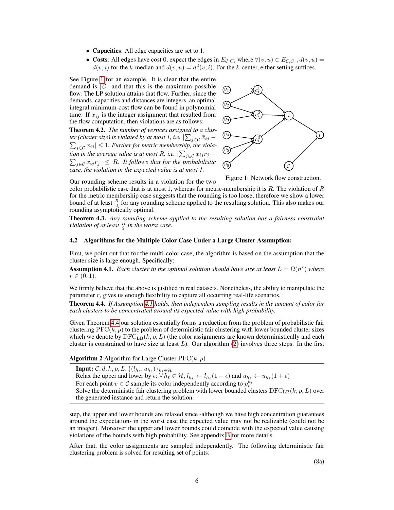- **Capacities**: All edge capacities are set to 1.
- Costs: All edges have cost 0, expect the edges in  $E_{\mathcal{C},C_i}$  where  $\forall (v, u) \in E_{\mathcal{C},C_i}$ ,  $d(v, u) =$  $d(v, i)$  for the k-median and  $d(v, u) = d^2(v, i)$ . For the k-center, either setting suffices.

See Figure [1](#page-5-1) for an example. It is clear that the entire demand is  $|C|$  and that this is the maximum possible flow. The LP solution attains that flow. Further, since the demands, capacities and distances are integers, an optimal integral minimum-cost flow can be found in polynomial time. If  $\bar{x}_{ij}$  is the integer assignment that resulted from the flow computation, then violations are as follows:

Theorem 4.2. *The number of vertices assigned to a clus*ter (cluster size) is violated by at most 1, i.e.  $|\sum_{j\in\mathcal{C}}\bar{x}_{ij} \sum_{j\in\mathcal{C}} x_{ij}|\leq 1$ . Further for metric membership, the violation in the average value is at most R, i.e.  $|\sum_{j\in\mathcal{C}}\bar{x}_{ij}r_j \sum_{j \in \mathcal{C}} x_{ij} r_j \vert \leq R$ . It follows that for the probabilistic *case, the violation in the expected value is at most 1.*

<span id="page-5-1"></span>

Figure 1: Network flow construction.

Our rounding scheme results in a violation for the two

color probabilistic case that is at most 1, whereas for metric-membership it is R. The violation of R for the metric membership case suggests that the rounding is too loose, therefore we show a lower bound of at least  $\frac{R}{2}$  for any rounding scheme applied to the resulting solution. This also makes our rounding asymptotically optimal.

Theorem 4.3. *Any rounding scheme applied to the resulting solution has a fairness constraint violation of at least*  $\frac{R}{2}$  *in the worst case.* 

#### <span id="page-5-0"></span>4.2 Algorithms for the Multiple Color Case Under a Large Cluster Assumption:

First, we point out that for the multi-color case, the algorithm is based on the assumption that the cluster size is large enough. Specifically:

<span id="page-5-2"></span>**Assumption 4.1.** Each cluster in the optimal solution should have size at least  $L = \Omega(n^r)$  where  $r \in (0, 1)$ .

We firmly believe that the above is justified in real datasets. Nonetheless, the ability to manipulate the parameter  $r$ , gives us enough flexibility to capture all occurring real-life scenarios.

<span id="page-5-3"></span>Theorem 4.4. *If Assumption [4.1](#page-5-2) holds, then independent sampling results in the amount of color for each clusters to be concentrated around its expected value with high probability.*

Given Theorem [4.4](#page-5-3) our solution essentially forms a reduction from the problem of probabilistic fair clustering  $\text{PFC}(k, p)$  to the problem of deterministic fair clustering with lower bounded cluster sizes which we denote by  $DFC_{LB}(k, p, L)$  (the color assignments are known deterministically and each cluster is constrained to have size at least  $L$ ). Our algorithm  $(2)$  involves three steps. In the first

<span id="page-5-4"></span>

|  |  |  | <b>Algorithm 2</b> Algorithm for Large Cluster $\text{PFC}(k, p)$ |  |  |
|--|--|--|-------------------------------------------------------------------|--|--|
|--|--|--|-------------------------------------------------------------------|--|--|

Input:  $\mathcal{C}, d, k, p, L, \{(l_{h_\ell}, u_{h_\ell})\}_{h_\ell \in \mathcal{H}}$ Relax the upper and lower by  $\epsilon: \forall h_\ell \in \mathcal{H}, l_{h_\ell} \leftarrow l_{h_\ell} (1 - \epsilon)$  and  $u_{h_\ell} \leftarrow u_{h_\ell} (1 + \epsilon)$ For each point  $v \in \mathcal{C}$  sample its color independently according to  $p_v^{h_\ell}$ Solve the deterministic fair clustering problem with lower bounded clusters  $DFC<sub>LB</sub>(k, p, L)$  over the generated instance and return the solution.

step, the upper and lower bounds are relaxed since -although we have high concentration guarantees around the expectation- in the worst case the expected value may not be realizable (could not be an integer). Moreover the upper and lower bounds could coincide with the expected value causing violations of the bounds with high probability. See appendix B for more details.

After that, the color assignments are sampled independently. The following deterministic fair clustering problem is solved for resulting set of points:

(8a)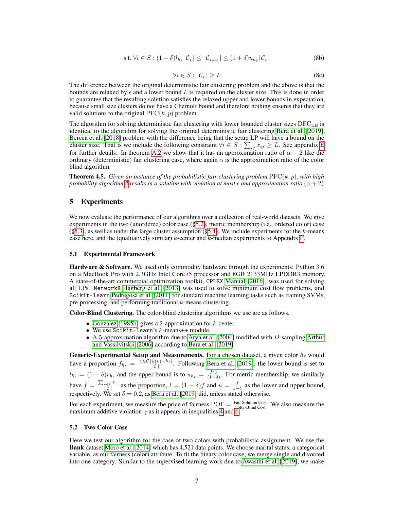s.t. 
$$
\forall i \in S : (1 - \delta)l_{h_{\ell}}|\mathcal{C}_i| \leq |\mathcal{C}_{i,h_{\ell}}| \leq (1 + \delta)u_{h_{\ell}}|\mathcal{C}_i|
$$
 (8b)

$$
\forall i \in S : |\mathcal{C}_i| \ge L \tag{8c}
$$

The difference between the original deterministic fair clustering problem and the above is that the bounds are relaxed by  $\epsilon$  and a lower bound L is required on the cluster size. This is done in order to guarantee that the resulting solution satisfies the relaxed upper and lower bounds in expectation, because small size clusters do not have a Chernoff bound and therefore nothing ensures that they are valid solutions to the original  $\text{PFC}(k, p)$  problem.

The algorithm for solving deterministic fair clustering with lower bounded cluster sizes  $DFC_{LB}$  is identical to the algorithm for solving the original deterministic fair clustering [Bera et al.](#page-10-9) [\[2019\]](#page-10-9), [Bercea et al.](#page-10-3) [\[2018\]](#page-10-3) problem with the difference being that the setup LP will have a bound on the cluster size. That is we include the following constraint  $\forall i \in S : \sum_{ij} x_{ij} \geq L$ . See appendix E for further details. In theorem A.2 we show that it has an approximation ratio of  $\alpha + 2$  like the ordinary (deterministic) fair clustering case, where again  $\alpha$  is the approximation ratio of the color blind algorithm.

**Theorem 4.5.** *Given an instance of the probabilistic fair clustering problem*  $\text{PFC}(k, p)$ *, with high probability algorithm* [2](#page-5-4) *results in a solution with violation at most*  $\epsilon$  *and approximation ratio*  $(\alpha + 2)$ *.* 

# <span id="page-6-0"></span>5 Experiments

We now evaluate the performance of our algorithms over a collection of real-world datasets. We give experiments in the two (unordered) color case ([§5.2\)](#page-6-1), metric membership (i.e., ordered color) case  $(\S$ 5.3), as well as under the large cluster assumption  $(\S$ 5.4). We include experiments for the k-means case here, and the (qualitatively similar)  $k$ -center and  $k$ -median experiments to Appendix F.

#### 5.1 Experimental Framework

**Hardware & Software.** We used only commodity hardware through the experiments: Python 3.6 on a MacBook Pro with 2.3GHz Intel Core i5 processor and 8GB 2133MHz LPDDR3 memory. A state-of-the-art commercial optimization toolkit, CPLEX [Manual](#page-11-11) [\[2016\]](#page-11-11), was used for solving all LPs. NetworkX [Hagberg et al.](#page-11-12) [\[2013\]](#page-11-12) was used to solve minimum cost flow problems, and Scikit-learn [Pedregosa et al.](#page-11-13) [\[2011\]](#page-11-13) for standard machine learning tasks such as training SVMs, pre-processing, and performing traditional k-means clustering.

Color-Blind Clustering. The color-blind clustering algorithms we use are as follows.

- [Gonzalez](#page-11-10) [\[1985b\]](#page-11-10) gives a 2-approximation for  $k$ -center.
- We use Scikit-learn's  $k$ -means++ module.
- A 5-approximation algorithm due to [Arya et al.](#page-10-13) [\[2004\]](#page-10-13) modified with D-sampling [Arthur](#page-10-14) [and Vassilvitskii](#page-10-14) [\[2006\]](#page-10-14) according to [Bera et al.](#page-10-9) [\[2019\]](#page-10-9).

**Generic-Experimental Setup and Measurements.** For a chosen dataset, a given color  $h_\ell$  would have a proportion  $f_{h_\ell} = \frac{|v \in \mathcal{C} | \chi(v) = h_\ell |}{|\mathcal{C}|}$ . Following [Bera et al.](#page-10-9) [\[2019\]](#page-10-9), the lower bound is set to  $l_{h_\ell} = (1 - \delta)r_{h_\ell}$  and the upper bound is to  $u_{h_\ell} = \frac{f_{h_\ell}}{(1 - \delta)}$ . For metric membership, we similarly have  $f = \frac{\sum_{v \in C} r_v}{|C|}$  as the proportion,  $l = (1 - \delta)f$  and  $u = \frac{f}{1 - \delta}$  as the lower and upper bound, respectively. We set  $\delta = 0.2$ , as [Bera et al.](#page-10-9) [\[2019\]](#page-10-9) did, unless stated otherwise.

For each experiment, we measure the price of fairness  $\text{POF} = \frac{\text{Fair Solution Cost}}{\text{Color-Blind Cost}}$ . We also measure the maximum additive violation  $\gamma$  as it appears in inequalities [4](#page-2-4) and [6.](#page-3-3)

#### <span id="page-6-1"></span>5.2 Two Color Case

Here we test our algorithm for the case of two colors with probabilistic assignment. We use the Bank dataset [Moro et al.](#page-11-14) [\[2014\]](#page-11-14) which has 4,521 data points. We choose marital status, a categorical variable, as our fairness (color) attribute. To fit the binary color case, we merge single and divorced into one category. Similar to the supervised learning work due to [Awasthi et al.](#page-10-5) [\[2019\]](#page-10-5), we make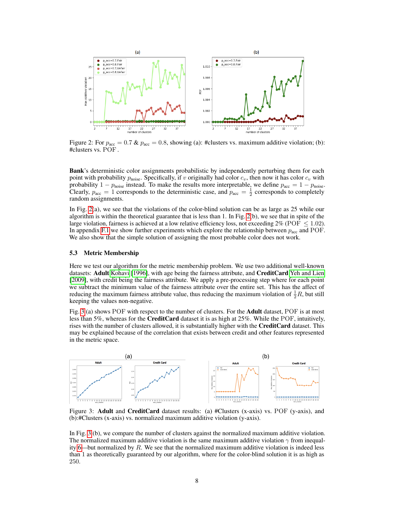<span id="page-7-1"></span>

Figure 2: For  $p_{\text{acc}} = 0.7 \& p_{\text{acc}} = 0.8$ , showing (a): #clusters vs. maximum additive violation; (b): #clusters vs. POF .

Bank's deterministic color assignments probabilistic by independently perturbing them for each point with probability  $p_{noise}$ . Specifically, if v originally had color  $c_v$ , then now it has color  $c_v$  with probability  $1 - p_{noise}$  instead. To make the results more interpretable, we define  $p_{acc} = 1 - p_{noise}$ . Clearly,  $p_{\text{acc}} = 1$  corresponds to the deterministic case, and  $p_{\text{acc}} = \frac{1}{2}$  corresponds to completely random assignments.

In Fig. [2\(](#page-7-1)a), we see that the violations of the color-blind solution can be as large as 25 while our algorithm is within the theoretical guarantee that is less than 1. In Fig. [2\(](#page-7-1)b), we see that in spite of the large violation, fairness is achieved at a low relative efficiency loss, not exceeding  $2\%$  (POF  $\leq$  1.02). In appendix F.1 we show further experiments which explore the relationship between  $p_{\text{acc}}$  and POF. We also show that the simple solution of assigning the most probable color does not work.

## <span id="page-7-0"></span>5.3 Metric Membership

Here we test our algorithm for the metric membership problem. We use two additional well-known datasets: Adult [Kohavi](#page-11-15) [\[1996\]](#page-11-15), with age being the fairness attribute, and CreditCard [Yeh and Lien](#page-12-1) [\[2009\]](#page-12-1), with credit being the fairness attribute. We apply a pre-processing step where for each point we subtract the minimum value of the fairness attribute over the entire set. This has the affect of reducing the maximum fairness attribute value, thus reducing the maximum violation of  $\frac{1}{2}R$ , but still keeping the values non-negative.

Fig. [3](#page-7-2) (a) shows POF with respect to the number of clusters. For the **Adult** dataset, POF is at most less than 5%, whereas for the CreditCard dataset it is as high at 25%. While the POF, intuitively, rises with the number of clusters allowed, it is substantially higher with the **CreditCard** dataset. This may be explained because of the correlation that exists between credit and other features represented in the metric space.

<span id="page-7-2"></span>

Figure 3: Adult and CreditCard dataset results: (a) #Clusters (x-axis) vs. POF (y-axis), and (b):#Clusters (x-axis) vs. normalized maximum additive violation (y-axis).

In Fig. [3](#page-7-2) (b), we compare the number of clusters against the normalized maximum additive violation. The normalized maximum additive violation is the same maximum additive violation  $\gamma$  from inequal-ity [6—](#page-3-3)but normalized by  $R$ . We see that the normalized maximum additive violation is indeed less than 1 as theoretically guaranteed by our algorithm, where for the color-blind solution it is as high as 250.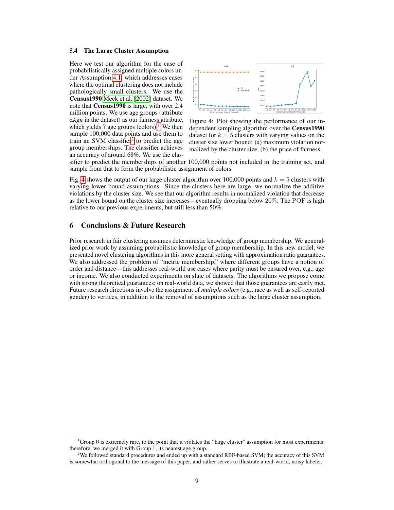#### <span id="page-8-0"></span>5.4 The Large Cluster Assumption

Here we test our algorithm for the case of probabilistically assigned multiple colors under Assumption [4.1,](#page-5-2) which addresses cases where the optimal clustering does not include pathologically small clusters. We use the Census1990 [Meek et al.](#page-11-16) [\[2002\]](#page-11-16) dataset. We note that Census1990 is large, with over 2.4 million points. We use age groups (attribute dAge in the dataset) as our fairness attribute, which yields 7 age groups (colors).<sup>[1](#page-8-1)</sup> We then sample 100,000 data points and use them to train an SVM classifier<sup>[2](#page-8-2)</sup> to predict the age group memberships. The classifier achieves an accuracy of around 68%. We use the clas-

<span id="page-8-3"></span>

Figure 4: Plot showing the performance of our independent sampling algorithm over the Census1990 dataset for  $k = 5$  clusters with varying values on the cluster size lower bound: (a) maximum violation normalized by the cluster size, (b) the price of fairness.

sifier to predict the memberships of another 100,000 points not included in the training set, and sample from that to form the probabilistic assignment of colors.

Fig. [4](#page-8-3) shows the output of our large cluster algorithm over 100,000 points and  $k = 5$  clusters with varying lower bound assumptions. Since the clusters here are large, we normalize the additive violations by the cluster size. We see that our algorithm results in normalized violation that decrease as the lower bound on the cluster size increases—eventually dropping below 20%. The POF is high relative to our previous experiments, but still less than 50%.

## 6 Conclusions & Future Research

Prior research in fair clustering assumes deterministic knowledge of group membership. We generalized prior work by assuming probabilistic knowledge of group membership. In this new model, we presented novel clustering algorithms in this more general setting with approximation ratio guarantees. We also addressed the problem of "metric membership," where different groups have a notion of order and distance—this addresses real-world use cases where parity must be ensured over, e.g., age or income. We also conducted experiments on slate of datasets. The algorithms we propose come with strong theoretical guarantees; on real-world data, we showed that those guarantees are easily met. Future research directions involve the assignment of *multiple colors* (e.g., race as well as self-reported gender) to vertices, in addition to the removal of assumptions such as the large cluster assumption.

<span id="page-8-1"></span> $1_G$  Group 0 is extremely rare, to the point that it violates the "large cluster" assumption for most experiments; therefore, we merged it with Group 1, its nearest age group.

<span id="page-8-2"></span><sup>2</sup>We followed standard procedures and ended up with a standard RBF-based SVM; the accuracy of this SVM is somewhat orthogonal to the message of this paper, and rather serves to illustrate a real-world, noisy labeler.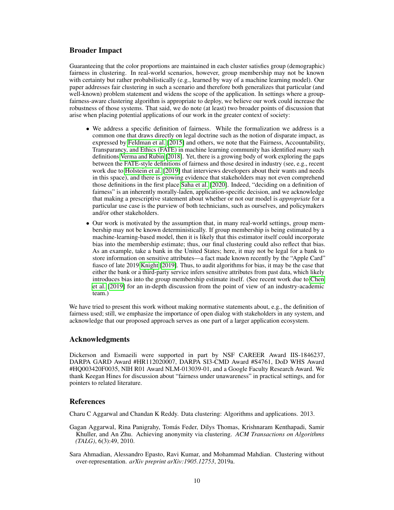# Broader Impact

Guaranteeing that the color proportions are maintained in each cluster satisfies group (demographic) fairness in clustering. In real-world scenarios, however, group membership may not be known with certainty but rather probabilistically (e.g., learned by way of a machine learning model). Our paper addresses fair clustering in such a scenario and therefore both generalizes that particular (and well-known) problem statement and widens the scope of the application. In settings where a groupfairness-aware clustering algorithm is appropriate to deploy, we believe our work could increase the robustness of those systems. That said, we do note (at least) two broader points of discussion that arise when placing potential applications of our work in the greater context of society:

- We address a specific definition of fairness. While the formalization we address is a common one that draws directly on legal doctrine such as the notion of disparate impact, as expressed by [Feldman et al.](#page-10-15) [\[2015\]](#page-10-15) and others, we note that the Fairness, Accountability, Transparancy, and Ethics (FATE) in machine learning community has identified *many* such definitions [Verma and Rubin](#page-12-2) [\[2018\]](#page-12-2). Yet, there is a growing body of work exploring the gaps between the FATE-style definitions of fairness and those desired in industry (see, e.g., recent work due to [Holstein et al.](#page-11-17) [\[2019\]](#page-11-17) that interviews developers about their wants and needs in this space), and there is growing evidence that stakeholders may not even comprehend those definitions in the first place [Saha et al.](#page-12-3) [\[2020\]](#page-12-3). Indeed, "deciding on a definition of fairness" is an inherently morally-laden, application-specific decision, and we acknowledge that making a prescriptive statement about whether or not our model is *appropriate* for a particular use case is the purview of both technicians, such as ourselves, and policymakers and/or other stakeholders.
- Our work is motivated by the assumption that, in many real-world settings, group membership may not be known deterministically. If group membership is being estimated by a machine-learning-based model, then it is likely that this estimator itself could incorporate bias into the membership estimate; thus, our final clustering could also reflect that bias. As an example, take a bank in the United States; here, it may not be legal for a bank to store information on sensitive attributes—a fact made known recently by the "Apple Card" fiasco of late 2019 [Knight](#page-11-18) [\[2019\]](#page-11-18). Thus, to audit algorithms for bias, it may be the case that either the bank or a third-party service infers sensitive attributes from past data, which likely introduces bias into the group membership estimate itself. (See recent work due to [Chen](#page-10-16) [et al.](#page-10-16) [\[2019\]](#page-10-16) for an in-depth discussion from the point of view of an industry-academic team.)

We have tried to present this work without making normative statements about, e.g., the definition of fairness used; still, we emphasize the importance of open dialog with stakeholders in any system, and acknowledge that our proposed approach serves as one part of a larger application ecosystem.

# Acknowledgments

Dickerson and Esmaeili were supported in part by NSF CAREER Award IIS-1846237, DARPA GARD Award #HR112020007, DARPA SI3-CMD Award #S4761, DoD WHS Award #HQ003420F0035, NIH R01 Award NLM-013039-01, and a Google Faculty Research Award. We thank Keegan Hines for discussion about "fairness under unawareness" in practical settings, and for pointers to related literature.

# References

<span id="page-9-1"></span>Charu C Aggarwal and Chandan K Reddy. Data clustering: Algorithms and applications. 2013.

- <span id="page-9-2"></span>Gagan Aggarwal, Rina Panigrahy, Tomás Feder, Dilys Thomas, Krishnaram Kenthapadi, Samir Khuller, and An Zhu. Achieving anonymity via clustering. *ACM Transactions on Algorithms (TALG)*, 6(3):49, 2010.
- <span id="page-9-0"></span>Sara Ahmadian, Alessandro Epasto, Ravi Kumar, and Mohammad Mahdian. Clustering without over-representation. *arXiv preprint arXiv:1905.12753*, 2019a.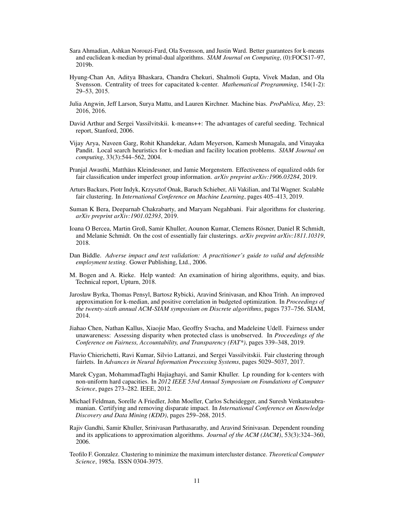- <span id="page-10-8"></span>Sara Ahmadian, Ashkan Norouzi-Fard, Ola Svensson, and Justin Ward. Better guarantees for k-means and euclidean k-median by primal-dual algorithms. *SIAM Journal on Computing*, (0):FOCS17–97, 2019b.
- <span id="page-10-12"></span>Hyung-Chan An, Aditya Bhaskara, Chandra Chekuri, Shalmoli Gupta, Vivek Madan, and Ola Svensson. Centrality of trees for capacitated k-center. *Mathematical Programming*, 154(1-2): 29–53, 2015.
- <span id="page-10-1"></span>Julia Angwin, Jeff Larson, Surya Mattu, and Lauren Kirchner. Machine bias. *ProPublica, May*, 23: 2016, 2016.
- <span id="page-10-14"></span>David Arthur and Sergei Vassilvitskii. k-means++: The advantages of careful seeding. Technical report, Stanford, 2006.
- <span id="page-10-13"></span>Vijay Arya, Naveen Garg, Rohit Khandekar, Adam Meyerson, Kamesh Munagala, and Vinayaka Pandit. Local search heuristics for k-median and facility location problems. *SIAM Journal on computing*, 33(3):544–562, 2004.
- <span id="page-10-5"></span>Pranjal Awasthi, Matthäus Kleindessner, and Jamie Morgenstern. Effectiveness of equalized odds for fair classification under imperfect group information. *arXiv preprint arXiv:1906.03284*, 2019.
- <span id="page-10-10"></span>Arturs Backurs, Piotr Indyk, Krzysztof Onak, Baruch Schieber, Ali Vakilian, and Tal Wagner. Scalable fair clustering. In *International Conference on Machine Learning*, pages 405–413, 2019.
- <span id="page-10-9"></span>Suman K Bera, Deeparnab Chakrabarty, and Maryam Negahbani. Fair algorithms for clustering. *arXiv preprint arXiv:1901.02393*, 2019.
- <span id="page-10-3"></span>Ioana O Bercea, Martin Groß, Samir Khuller, Aounon Kumar, Clemens Rösner, Daniel R Schmidt, and Melanie Schmidt. On the cost of essentially fair clusterings. *arXiv preprint arXiv:1811.10319*, 2018.
- <span id="page-10-4"></span>Dan Biddle. *Adverse impact and test validation: A practitioner's guide to valid and defensible employment testing*. Gower Publishing, Ltd., 2006.
- <span id="page-10-0"></span>M. Bogen and A. Rieke. Help wanted: An examination of hiring algorithms, equity, and bias. Technical report, Upturn, 2018.
- <span id="page-10-7"></span>Jarosław Byrka, Thomas Pensyl, Bartosz Rybicki, Aravind Srinivasan, and Khoa Trinh. An improved approximation for k-median, and positive correlation in budgeted optimization. In *Proceedings of the twenty-sixth annual ACM-SIAM symposium on Discrete algorithms*, pages 737–756. SIAM, 2014.
- <span id="page-10-16"></span>Jiahao Chen, Nathan Kallus, Xiaojie Mao, Geoffry Svacha, and Madeleine Udell. Fairness under unawareness: Assessing disparity when protected class is unobserved. In *Proceedings of the Conference on Fairness, Accountability, and Transparency (FAT\*)*, pages 339–348, 2019.
- <span id="page-10-2"></span>Flavio Chierichetti, Ravi Kumar, Silvio Lattanzi, and Sergei Vassilvitskii. Fair clustering through fairlets. In *Advances in Neural Information Processing Systems*, pages 5029–5037, 2017.
- <span id="page-10-11"></span>Marek Cygan, MohammadTaghi Hajiaghayi, and Samir Khuller. Lp rounding for k-centers with non-uniform hard capacities. In *2012 IEEE 53rd Annual Symposium on Foundations of Computer Science*, pages 273–282. IEEE, 2012.
- <span id="page-10-15"></span>Michael Feldman, Sorelle A Friedler, John Moeller, Carlos Scheidegger, and Suresh Venkatasubramanian. Certifying and removing disparate impact. In *International Conference on Knowledge Discovery and Data Mining (KDD)*, pages 259–268, 2015.
- Rajiv Gandhi, Samir Khuller, Srinivasan Parthasarathy, and Aravind Srinivasan. Dependent rounding and its applications to approximation algorithms. *Journal of the ACM (JACM)*, 53(3):324–360, 2006.
- <span id="page-10-6"></span>Teofilo F. Gonzalez. Clustering to minimize the maximum intercluster distance. *Theoretical Computer Science*, 1985a. ISSN 0304-3975.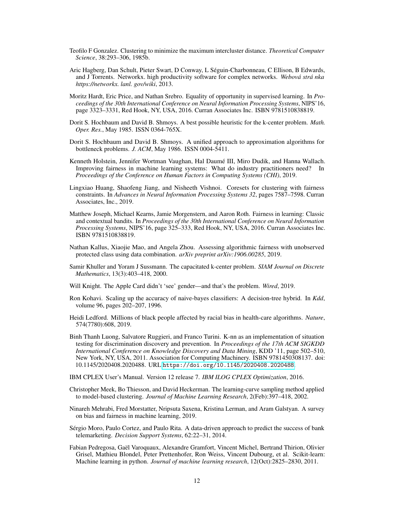- <span id="page-11-10"></span>Teofilo F Gonzalez. Clustering to minimize the maximum intercluster distance. *Theoretical Computer Science*, 38:293–306, 1985b.
- <span id="page-11-12"></span>Aric Hagberg, Dan Schult, Pieter Swart, D Conway, L Séguin-Charbonneau, C Ellison, B Edwards, and J Torrents. Networkx. high productivity software for complex networks. *Webová strá nka https://networkx. lanl. gov/wiki*, 2013.
- <span id="page-11-3"></span>Moritz Hardt, Eric Price, and Nathan Srebro. Equality of opportunity in supervised learning. In *Proceedings of the 30th International Conference on Neural Information Processing Systems*, NIPS'16, page 3323–3331, Red Hook, NY, USA, 2016. Curran Associates Inc. ISBN 9781510838819.
- <span id="page-11-5"></span>Dorit S. Hochbaum and David B. Shmoys. A best possible heuristic for the k-center problem. *Math. Oper. Res.*, May 1985. ISSN 0364-765X.
- <span id="page-11-6"></span>Dorit S. Hochbaum and David B. Shmoys. A unified approach to approximation algorithms for bottleneck problems. *J. ACM*, May 1986. ISSN 0004-5411.
- <span id="page-11-17"></span>Kenneth Holstein, Jennifer Wortman Vaughan, Hal Daumé III, Miro Dudik, and Hanna Wallach. Improving fairness in machine learning systems: What do industry practitioners need? In *Proceedings of the Conference on Human Factors in Computing Systems (CHI)*, 2019.
- <span id="page-11-7"></span>Lingxiao Huang, Shaofeng Jiang, and Nisheeth Vishnoi. Coresets for clustering with fairness constraints. In *Advances in Neural Information Processing Systems 32*, pages 7587–7598. Curran Associates, Inc., 2019.
- <span id="page-11-4"></span>Matthew Joseph, Michael Kearns, Jamie Morgenstern, and Aaron Roth. Fairness in learning: Classic and contextual bandits. In *Proceedings of the 30th International Conference on Neural Information Processing Systems*, NIPS'16, page 325–333, Red Hook, NY, USA, 2016. Curran Associates Inc. ISBN 9781510838819.
- <span id="page-11-8"></span>Nathan Kallus, Xiaojie Mao, and Angela Zhou. Assessing algorithmic fairness with unobserved protected class using data combination. *arXiv preprint arXiv:1906.00285*, 2019.
- <span id="page-11-9"></span>Samir Khuller and Yoram J Sussmann. The capacitated k-center problem. *SIAM Journal on Discrete Mathematics*, 13(3):403–418, 2000.
- <span id="page-11-18"></span>Will Knight. The Apple Card didn't 'see' gender—and that's the problem. *Wired*, 2019.
- <span id="page-11-15"></span>Ron Kohavi. Scaling up the accuracy of naive-bayes classifiers: A decision-tree hybrid. In *Kdd*, volume 96, pages 202–207, 1996.
- <span id="page-11-0"></span>Heidi Ledford. Millions of black people affected by racial bias in health-care algorithms. *Nature*, 574(7780):608, 2019.
- <span id="page-11-2"></span>Binh Thanh Luong, Salvatore Ruggieri, and Franco Turini. K-nn as an implementation of situation testing for discrimination discovery and prevention. In *Proceedings of the 17th ACM SIGKDD International Conference on Knowledge Discovery and Data Mining*, KDD '11, page 502–510, New York, NY, USA, 2011. Association for Computing Machinery. ISBN 9781450308137. doi: 10.1145/2020408.2020488. URL <https://doi.org/10.1145/2020408.2020488>.
- <span id="page-11-11"></span>IBM CPLEX User's Manual. Version 12 release 7. *IBM ILOG CPLEX Optimization*, 2016.
- <span id="page-11-16"></span>Christopher Meek, Bo Thiesson, and David Heckerman. The learning-curve sampling method applied to model-based clustering. *Journal of Machine Learning Research*, 2(Feb):397–418, 2002.
- <span id="page-11-1"></span>Ninareh Mehrabi, Fred Morstatter, Nripsuta Saxena, Kristina Lerman, and Aram Galstyan. A survey on bias and fairness in machine learning, 2019.
- <span id="page-11-14"></span>Sérgio Moro, Paulo Cortez, and Paulo Rita. A data-driven approach to predict the success of bank telemarketing. *Decision Support Systems*, 62:22–31, 2014.
- <span id="page-11-13"></span>Fabian Pedregosa, Gaël Varoquaux, Alexandre Gramfort, Vincent Michel, Bertrand Thirion, Olivier Grisel, Mathieu Blondel, Peter Prettenhofer, Ron Weiss, Vincent Dubourg, et al. Scikit-learn: Machine learning in python. *Journal of machine learning research*, 12(Oct):2825–2830, 2011.